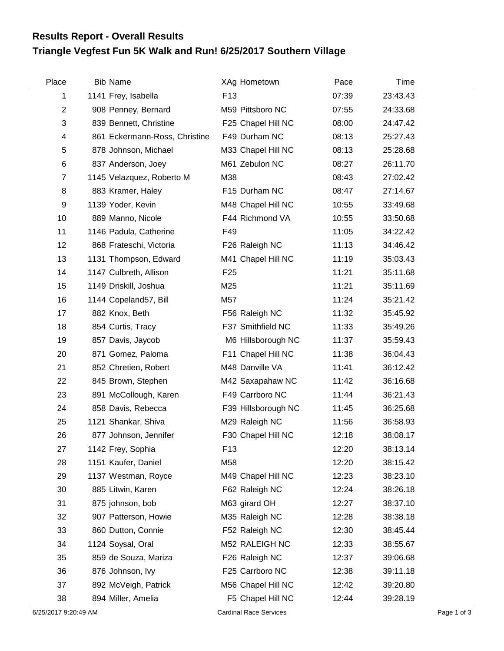## **Triangle Vegfest Fun 5K Walk and Run! 6/25/2017 Southern Village Results Report - Overall Results**

| Place          | <b>Bib Name</b>               | XAg Hometown        | Pace  | Time     |  |
|----------------|-------------------------------|---------------------|-------|----------|--|
| 1              | 1141 Frey, Isabella           | F <sub>13</sub>     | 07:39 | 23:43.43 |  |
| $\overline{2}$ | 908 Penney, Bernard           | M59 Pittsboro NC    | 07:55 | 24:33.68 |  |
| 3              | 839 Bennett, Christine        | F25 Chapel Hill NC  | 08:00 | 24:47.42 |  |
| 4              | 861 Eckermann-Ross, Christine | F49 Durham NC       | 08:13 | 25:27.43 |  |
| 5              | 878 Johnson, Michael          | M33 Chapel Hill NC  | 08:13 | 25:28.68 |  |
| 6              | 837 Anderson, Joey            | M61 Zebulon NC      | 08:27 | 26:11.70 |  |
| $\overline{7}$ | 1145 Velazquez, Roberto M     | M38                 | 08:43 | 27:02.42 |  |
| 8              | 883 Kramer, Haley             | F15 Durham NC       | 08:47 | 27:14.67 |  |
| 9              | 1139 Yoder, Kevin             | M48 Chapel Hill NC  | 10:55 | 33:49.68 |  |
| 10             | 889 Manno, Nicole             | F44 Richmond VA     | 10:55 | 33:50.68 |  |
| 11             | 1146 Padula, Catherine        | F49                 | 11:05 | 34:22.42 |  |
| 12             | 868 Frateschi, Victoria       | F26 Raleigh NC      | 11:13 | 34:46.42 |  |
| 13             | 1131 Thompson, Edward         | M41 Chapel Hill NC  | 11:19 | 35:03.43 |  |
| 14             | 1147 Culbreth, Allison        | F <sub>25</sub>     | 11:21 | 35:11.68 |  |
| 15             | 1149 Driskill, Joshua         | M25                 | 11:21 | 35:11.69 |  |
| 16             | 1144 Copeland57, Bill         | M57                 | 11:24 | 35:21.42 |  |
| 17             | 882 Knox, Beth                | F56 Raleigh NC      | 11:32 | 35:45.92 |  |
| 18             | 854 Curtis, Tracy             | F37 Smithfield NC   | 11:33 | 35:49.26 |  |
| 19             | 857 Davis, Jaycob             | M6 Hillsborough NC  | 11:37 | 35:59.43 |  |
| 20             | 871 Gomez, Paloma             | F11 Chapel Hill NC  | 11:38 | 36:04.43 |  |
| 21             | 852 Chretien, Robert          | M48 Danville VA     | 11:41 | 36:12.42 |  |
| 22             | 845 Brown, Stephen            | M42 Saxapahaw NC    | 11:42 | 36:16.68 |  |
| 23             | 891 McCollough, Karen         | F49 Carrboro NC     | 11:44 | 36:21.43 |  |
| 24             | 858 Davis, Rebecca            | F39 Hillsborough NC | 11:45 | 36:25.68 |  |
| 25             | 1121 Shankar, Shiva           | M29 Raleigh NC      | 11:56 | 36:58.93 |  |
| 26             | 877 Johnson, Jennifer         | F30 Chapel Hill NC  | 12:18 | 38:08.17 |  |
| 27             | 1142 Frey, Sophia             | F <sub>13</sub>     | 12:20 | 38:13.14 |  |
| 28             | 1151 Kaufer, Daniel           | M58                 | 12:20 | 38:15.42 |  |
| 29             | 1137 Westman, Royce           | M49 Chapel Hill NC  | 12:23 | 38:23.10 |  |
| 30             | 885 Litwin, Karen             | F62 Raleigh NC      | 12:24 | 38:26.18 |  |
| 31             | 875 johnson, bob              | M63 girard OH       | 12:27 | 38:37.10 |  |
| 32             | 907 Patterson, Howie          | M35 Raleigh NC      | 12:28 | 38:38.18 |  |
| 33             | 860 Dutton, Connie            | F52 Raleigh NC      | 12:30 | 38:45.44 |  |
| 34             | 1124 Soysal, Oral             | M52 RALEIGH NC      | 12:33 | 38:55.67 |  |
| 35             | 859 de Souza, Mariza          | F26 Raleigh NC      | 12:37 | 39:06.68 |  |
| 36             | 876 Johnson, Ivy              | F25 Carrboro NC     | 12:38 | 39:11.18 |  |
| 37             | 892 McVeigh, Patrick          | M56 Chapel Hill NC  | 12:42 | 39:20.80 |  |
| 38             | 894 Miller, Amelia            | F5 Chapel Hill NC   | 12:44 | 39:28.19 |  |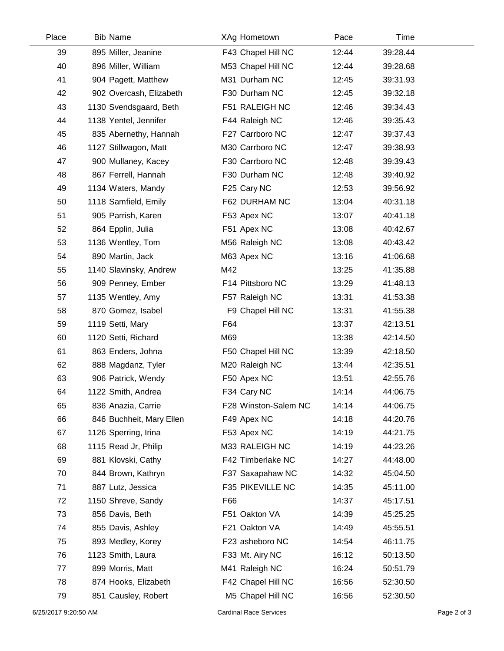| Place | <b>Bib Name</b>          | XAg Hometown         | Pace  | Time     |  |
|-------|--------------------------|----------------------|-------|----------|--|
| 39    | 895 Miller, Jeanine      | F43 Chapel Hill NC   | 12:44 | 39:28.44 |  |
| 40    | 896 Miller, William      | M53 Chapel Hill NC   | 12:44 | 39:28.68 |  |
| 41    | 904 Pagett, Matthew      | M31 Durham NC        | 12:45 | 39:31.93 |  |
| 42    | 902 Overcash, Elizabeth  | F30 Durham NC        | 12:45 | 39:32.18 |  |
| 43    | 1130 Svendsgaard, Beth   | F51 RALEIGH NC       | 12:46 | 39:34.43 |  |
| 44    | 1138 Yentel, Jennifer    | F44 Raleigh NC       | 12:46 | 39:35.43 |  |
| 45    | 835 Abernethy, Hannah    | F27 Carrboro NC      | 12:47 | 39:37.43 |  |
| 46    | 1127 Stillwagon, Matt    | M30 Carrboro NC      | 12:47 | 39:38.93 |  |
| 47    | 900 Mullaney, Kacey      | F30 Carrboro NC      | 12:48 | 39:39.43 |  |
| 48    | 867 Ferrell, Hannah      | F30 Durham NC        | 12:48 | 39:40.92 |  |
| 49    | 1134 Waters, Mandy       | F25 Cary NC          | 12:53 | 39:56.92 |  |
| 50    | 1118 Samfield, Emily     | F62 DURHAM NC        | 13:04 | 40:31.18 |  |
| 51    | 905 Parrish, Karen       | F53 Apex NC          | 13:07 | 40:41.18 |  |
| 52    | 864 Epplin, Julia        | F51 Apex NC          | 13:08 | 40:42.67 |  |
| 53    | 1136 Wentley, Tom        | M56 Raleigh NC       | 13:08 | 40:43.42 |  |
| 54    | 890 Martin, Jack         | M63 Apex NC          | 13:16 | 41:06.68 |  |
| 55    | 1140 Slavinsky, Andrew   | M42                  | 13:25 | 41:35.88 |  |
| 56    | 909 Penney, Ember        | F14 Pittsboro NC     | 13:29 | 41:48.13 |  |
| 57    | 1135 Wentley, Amy        | F57 Raleigh NC       | 13:31 | 41:53.38 |  |
| 58    | 870 Gomez, Isabel        | F9 Chapel Hill NC    | 13:31 | 41:55.38 |  |
| 59    | 1119 Setti, Mary         | F64                  | 13:37 | 42:13.51 |  |
| 60    | 1120 Setti, Richard      | M69                  | 13:38 | 42:14.50 |  |
| 61    | 863 Enders, Johna        | F50 Chapel Hill NC   | 13:39 | 42:18.50 |  |
| 62    | 888 Magdanz, Tyler       | M20 Raleigh NC       | 13:44 | 42:35.51 |  |
| 63    | 906 Patrick, Wendy       | F50 Apex NC          | 13:51 | 42:55.76 |  |
| 64    | 1122 Smith, Andrea       | F34 Cary NC          | 14:14 | 44:06.75 |  |
| 65    | 836 Anazia, Carrie       | F28 Winston-Salem NC | 14:14 | 44:06.75 |  |
| 66    | 846 Buchheit, Mary Ellen | F49 Apex NC          | 14:18 | 44:20.76 |  |
| 67    | 1126 Sperring, Irina     | F53 Apex NC          | 14:19 | 44:21.75 |  |
| 68    | 1115 Read Jr, Philip     | M33 RALEIGH NC       | 14:19 | 44:23.26 |  |
| 69    | 881 Klovski, Cathy       | F42 Timberlake NC    | 14:27 | 44:48.00 |  |
| 70    | 844 Brown, Kathryn       | F37 Saxapahaw NC     | 14:32 | 45:04.50 |  |
| 71    | 887 Lutz, Jessica        | F35 PIKEVILLE NC     | 14:35 | 45:11.00 |  |
| 72    | 1150 Shreve, Sandy       | F66                  | 14:37 | 45:17.51 |  |
| 73    | 856 Davis, Beth          | F51 Oakton VA        | 14:39 | 45:25.25 |  |
| 74    | 855 Davis, Ashley        | F21 Oakton VA        | 14:49 | 45:55.51 |  |
| 75    | 893 Medley, Korey        | F23 asheboro NC      | 14:54 | 46:11.75 |  |
| 76    | 1123 Smith, Laura        | F33 Mt. Airy NC      | 16:12 | 50:13.50 |  |
| 77    | 899 Morris, Matt         | M41 Raleigh NC       | 16:24 | 50:51.79 |  |
| 78    | 874 Hooks, Elizabeth     | F42 Chapel Hill NC   | 16:56 | 52:30.50 |  |
| 79    | 851 Causley, Robert      | M5 Chapel Hill NC    | 16:56 | 52:30.50 |  |